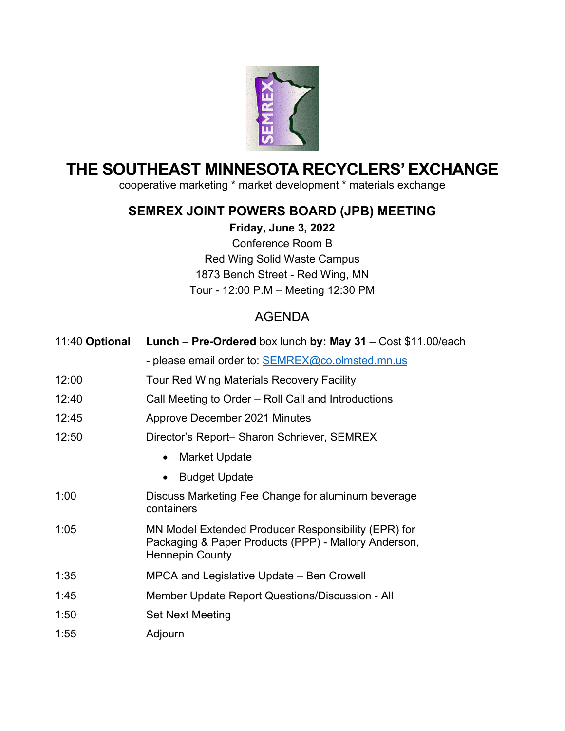

# **THE SOUTHEAST MINNESOTA RECYCLERS' EXCHANGE**

cooperative marketing \* market development \* materials exchange

## **SEMREX JOINT POWERS BOARD (JPB) MEETING**

**Friday, June 3, 2022** Conference Room B

Red Wing Solid Waste Campus 1873 Bench Street - Red Wing, MN Tour - 12:00 P.M – Meeting 12:30 PM

# AGENDA

| 11:40 Optional | Lunch - Pre-Ordered box lunch by: May 31 - Cost \$11.00/each                                                                          |
|----------------|---------------------------------------------------------------------------------------------------------------------------------------|
|                | - please email order to: <b>SEMREX@co.olmsted.mn.us</b>                                                                               |
| 12:00          | <b>Tour Red Wing Materials Recovery Facility</b>                                                                                      |
| 12:40          | Call Meeting to Order – Roll Call and Introductions                                                                                   |
| 12:45          | Approve December 2021 Minutes                                                                                                         |
| 12:50          | Director's Report- Sharon Schriever, SEMREX                                                                                           |
|                | Market Update<br>$\bullet$                                                                                                            |
|                | <b>Budget Update</b><br>$\bullet$                                                                                                     |
| 1:00           | Discuss Marketing Fee Change for aluminum beverage<br>containers                                                                      |
| 1:05           | MN Model Extended Producer Responsibility (EPR) for<br>Packaging & Paper Products (PPP) - Mallory Anderson,<br><b>Hennepin County</b> |
| 1:35           | MPCA and Legislative Update – Ben Crowell                                                                                             |
| 1:45           | Member Update Report Questions/Discussion - All                                                                                       |
| 1:50           | <b>Set Next Meeting</b>                                                                                                               |
| 1:55           | Adjourn                                                                                                                               |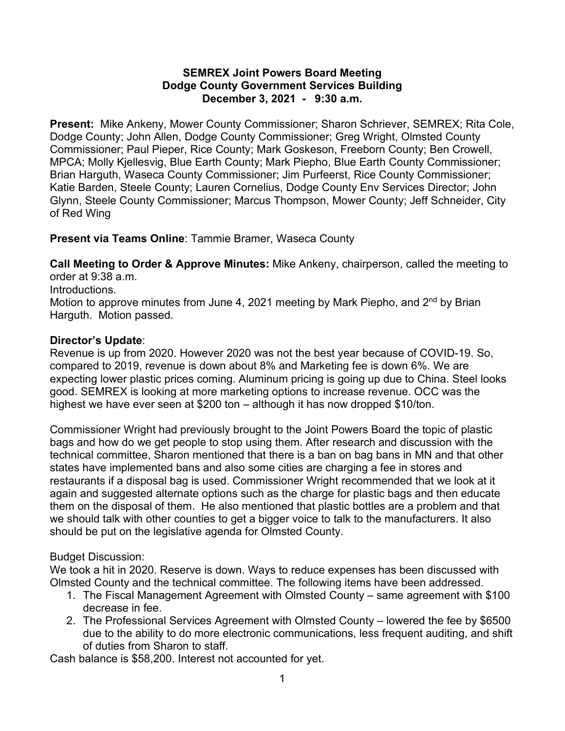#### **SEMREX Joint Powers Board Meeting Dodge County Government Services Building December 3, 2021 - 9:30 a.m.**

**Present:** Mike Ankeny, Mower County Commissioner; Sharon Schriever, SEMREX; Rita Cole, Dodge County; John Allen, Dodge County Commissioner; Greg Wright, Olmsted County Commissioner; Paul Pieper, Rice County; Mark Goskeson, Freeborn County; Ben Crowell, MPCA; Molly Kjellesvig, Blue Earth County; Mark Piepho, Blue Earth County Commissioner; Brian Harguth, Waseca County Commissioner; Jim Purfeerst, Rice County Commissioner; Katie Barden, Steele County; Lauren Cornelius, Dodge County Env Services Director; John Glynn, Steele County Commissioner; Marcus Thompson, Mower County; Jeff Schneider, City of Red Wing

**Present via Teams Online**: Tammie Bramer, Waseca County

**Call Meeting to Order & Approve Minutes:** Mike Ankeny, chairperson, called the meeting to order at 9:38 a.m. Introductions. Motion to approve minutes from June 4, 2021 meeting by Mark Piepho, and  $2^{nd}$  by Brian Harguth. Motion passed.

## **Director's Update**:

Revenue is up from 2020. However 2020 was not the best year because of COVID-19. So, compared to 2019, revenue is down about 8% and Marketing fee is down 6%. We are expecting lower plastic prices coming. Aluminum pricing is going up due to China. Steel looks good. SEMREX is looking at more marketing options to increase revenue. OCC was the highest we have ever seen at \$200 ton – although it has now dropped \$10/ton.

Commissioner Wright had previously brought to the Joint Powers Board the topic of plastic bags and how do we get people to stop using them. After research and discussion with the technical committee, Sharon mentioned that there is a ban on bag bans in MN and that other states have implemented bans and also some cities are charging a fee in stores and restaurants if a disposal bag is used. Commissioner Wright recommended that we look at it again and suggested alternate options such as the charge for plastic bags and then educate them on the disposal of them. He also mentioned that plastic bottles are a problem and that we should talk with other counties to get a bigger voice to talk to the manufacturers. It also should be put on the legislative agenda for Olmsted County.

### Budget Discussion:

We took a hit in 2020. Reserve is down. Ways to reduce expenses has been discussed with Olmsted County and the technical committee. The following items have been addressed.

- 1. The Fiscal Management Agreement with Olmsted County same agreement with \$100 decrease in fee.
- 2. The Professional Services Agreement with Olmsted County lowered the fee by \$6500 due to the ability to do more electronic communications, less frequent auditing, and shift of duties from Sharon to staff.

Cash balance is \$58,200. Interest not accounted for yet.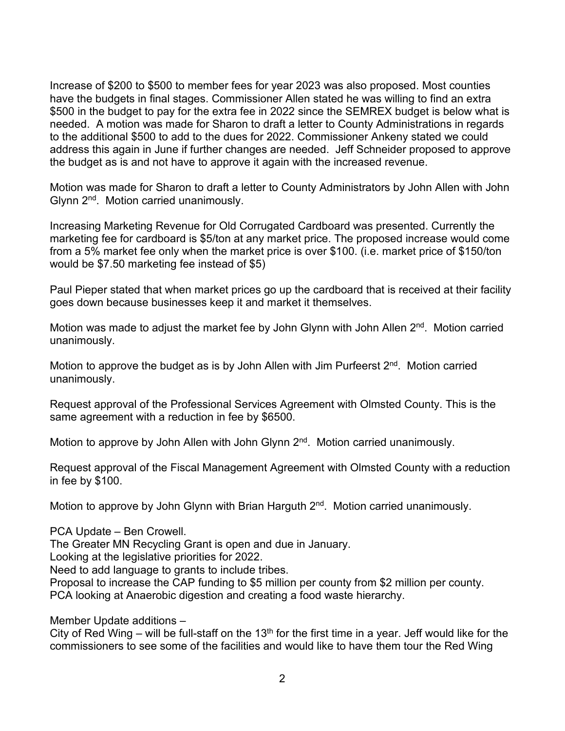Increase of \$200 to \$500 to member fees for year 2023 was also proposed. Most counties have the budgets in final stages. Commissioner Allen stated he was willing to find an extra \$500 in the budget to pay for the extra fee in 2022 since the SEMREX budget is below what is needed. A motion was made for Sharon to draft a letter to County Administrations in regards to the additional \$500 to add to the dues for 2022. Commissioner Ankeny stated we could address this again in June if further changes are needed. Jeff Schneider proposed to approve the budget as is and not have to approve it again with the increased revenue.

Motion was made for Sharon to draft a letter to County Administrators by John Allen with John Glynn 2<sup>nd</sup>. Motion carried unanimously.

Increasing Marketing Revenue for Old Corrugated Cardboard was presented. Currently the marketing fee for cardboard is \$5/ton at any market price. The proposed increase would come from a 5% market fee only when the market price is over \$100. (i.e. market price of \$150/ton would be \$7.50 marketing fee instead of \$5)

Paul Pieper stated that when market prices go up the cardboard that is received at their facility goes down because businesses keep it and market it themselves.

Motion was made to adjust the market fee by John Glynn with John Allen 2<sup>nd</sup>. Motion carried unanimously.

Motion to approve the budget as is by John Allen with Jim Purfeerst  $2^{nd}$ . Motion carried unanimously.

Request approval of the Professional Services Agreement with Olmsted County. This is the same agreement with a reduction in fee by \$6500.

Motion to approve by John Allen with John Glynn 2<sup>nd</sup>. Motion carried unanimously.

Request approval of the Fiscal Management Agreement with Olmsted County with a reduction in fee by \$100.

Motion to approve by John Glynn with Brian Harguth 2<sup>nd</sup>. Motion carried unanimously.

PCA Update – Ben Crowell.

The Greater MN Recycling Grant is open and due in January.

Looking at the legislative priorities for 2022.

Need to add language to grants to include tribes.

Proposal to increase the CAP funding to \$5 million per county from \$2 million per county. PCA looking at Anaerobic digestion and creating a food waste hierarchy.

Member Update additions –

City of Red Wing – will be full-staff on the 13<sup>th</sup> for the first time in a year. Jeff would like for the commissioners to see some of the facilities and would like to have them tour the Red Wing